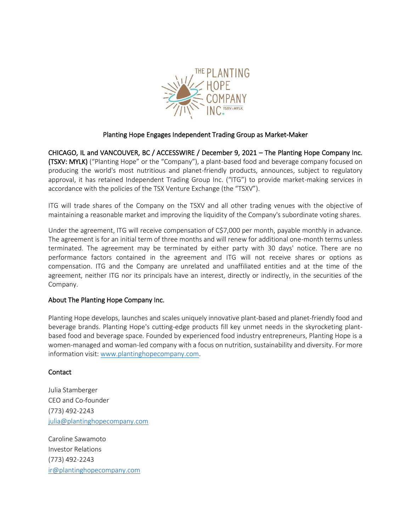

## Planting Hope Engages Independent Trading Group as Market-Maker

CHICAGO, IL and VANCOUVER, BC / ACCESSWIRE / December 9, 2021 – The Planting Hope Company Inc. (TSXV: MYLK) ("Planting Hope" or the "Company"), a plant-based food and beverage company focused on producing the world's most nutritious and planet-friendly products, announces, subject to regulatory approval, it has retained Independent Trading Group Inc. ("ITG") to provide market-making services in accordance with the policies of the TSX Venture Exchange (the "TSXV").

ITG will trade shares of the Company on the TSXV and all other trading venues with the objective of maintaining a reasonable market and improving the liquidity of the Company's subordinate voting shares.

Under the agreement, ITG will receive compensation of C\$7,000 per month, payable monthly in advance. The agreement is for an initial term of three months and will renew for additional one-month terms unless terminated. The agreement may be terminated by either party with 30 days' notice. There are no performance factors contained in the agreement and ITG will not receive shares or options as compensation. ITG and the Company are unrelated and unaffiliated entities and at the time of the agreement, neither ITG nor its principals have an interest, directly or indirectly, in the securities of the Company.

## About The Planting Hope Company Inc.

Planting Hope develops, launches and scales uniquely innovative plant-based and planet-friendly food and beverage brands. Planting Hope's cutting-edge products fill key unmet needs in the skyrocketing plantbased food and beverage space. Founded by experienced food industry entrepreneurs, Planting Hope is a women-managed and woman-led company with a focus on nutrition, sustainability and diversity. For more information visit: [www.plantinghopecompany.com.](http://www.plantinghopecompany.com/)

## Contact

Julia Stamberger CEO and Co-founder (773) 492-2243 [julia@plantinghopecompany.com](mailto:julia@plantinghopecompany.com)

Caroline Sawamoto Investor Relations (773) 492-2243 [ir@plantinghopecompany.com](mailto:ir@plantinghopecompany.com)